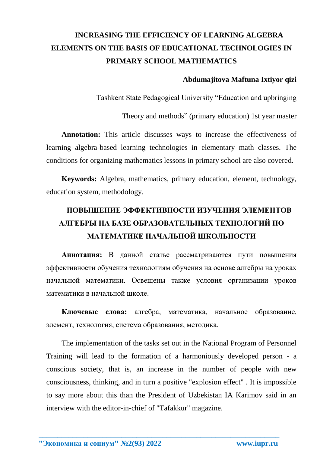## **INCREASING THE EFFICIENCY OF LEARNING ALGEBRA ELEMENTS ON THE BASIS OF EDUCATIONAL TECHNOLOGIES IN PRIMARY SCHOOL MATHEMATICS**

## **Abdumajitova Maftuna Ixtiyor qizi**

Tashkent State Pedagogical University "Education and upbringing

Theory and methods" (primary education) 1st year master

**Annotation:** This article discusses ways to increase the effectiveness of learning algebra-based learning technologies in elementary math classes. The conditions for organizing mathematics lessons in primary school are also covered.

**Keywords:** Algebra, mathematics, primary education, element, technology, education system, methodology.

## **ПОВЫШЕНИЕ ЭФФЕКТИВНОСТИ ИЗУЧЕНИЯ ЭЛЕМЕНТОВ АЛГЕБРЫ НА БАЗЕ ОБРАЗОВАТЕЛЬНЫХ ТЕХНОЛОГИЙ ПО МАТЕМАТИКЕ НАЧАЛЬНОЙ ШКОЛЬНОСТИ**

**Аннотация:** В данной статье рассматриваются пути повышения эффективности обучения технологиям обучения на основе алгебры на уроках начальной математики. Освещены также условия организации уроков математики в начальной школе.

**Ключевые слова:** алгебра, математика, начальное образование, элемент, технология, система образования, методика.

The implementation of the tasks set out in the National Program of Personnel Training will lead to the formation of a harmoniously developed person - a conscious society, that is, an increase in the number of people with new consciousness, thinking, and in turn a positive "explosion effect" . It is impossible to say more about this than the President of Uzbekistan IA Karimov said in an interview with the editor-in-chief of "Tafakkur" magazine.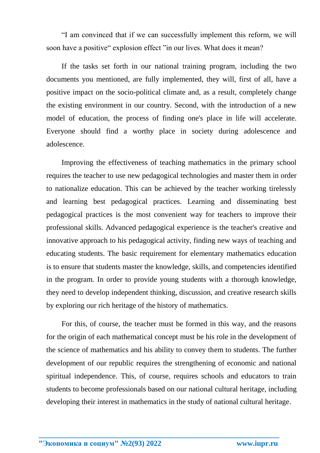"I am convinced that if we can successfully implement this reform, we will soon have a positive" explosion effect "in our lives. What does it mean?

If the tasks set forth in our national training program, including the two documents you mentioned, are fully implemented, they will, first of all, have a positive impact on the socio-political climate and, as a result, completely change the existing environment in our country. Second, with the introduction of a new model of education, the process of finding one's place in life will accelerate. Everyone should find a worthy place in society during adolescence and adolescence.

Improving the effectiveness of teaching mathematics in the primary school requires the teacher to use new pedagogical technologies and master them in order to nationalize education. This can be achieved by the teacher working tirelessly and learning best pedagogical practices. Learning and disseminating best pedagogical practices is the most convenient way for teachers to improve their professional skills. Advanced pedagogical experience is the teacher's creative and innovative approach to his pedagogical activity, finding new ways of teaching and educating students. The basic requirement for elementary mathematics education is to ensure that students master the knowledge, skills, and competencies identified in the program. In order to provide young students with a thorough knowledge, they need to develop independent thinking, discussion, and creative research skills by exploring our rich heritage of the history of mathematics.

For this, of course, the teacher must be formed in this way, and the reasons for the origin of each mathematical concept must be his role in the development of the science of mathematics and his ability to convey them to students. The further development of our republic requires the strengthening of economic and national spiritual independence. This, of course, requires schools and educators to train students to become professionals based on our national cultural heritage, including developing their interest in mathematics in the study of national cultural heritage.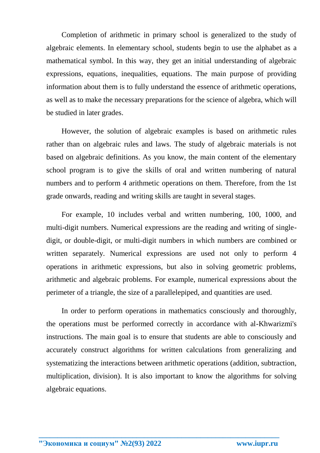Completion of arithmetic in primary school is generalized to the study of algebraic elements. In elementary school, students begin to use the alphabet as a mathematical symbol. In this way, they get an initial understanding of algebraic expressions, equations, inequalities, equations. The main purpose of providing information about them is to fully understand the essence of arithmetic operations, as well as to make the necessary preparations for the science of algebra, which will be studied in later grades.

However, the solution of algebraic examples is based on arithmetic rules rather than on algebraic rules and laws. The study of algebraic materials is not based on algebraic definitions. As you know, the main content of the elementary school program is to give the skills of oral and written numbering of natural numbers and to perform 4 arithmetic operations on them. Therefore, from the 1st grade onwards, reading and writing skills are taught in several stages.

For example, 10 includes verbal and written numbering, 100, 1000, and multi-digit numbers. Numerical expressions are the reading and writing of singledigit, or double-digit, or multi-digit numbers in which numbers are combined or written separately. Numerical expressions are used not only to perform 4 operations in arithmetic expressions, but also in solving geometric problems, arithmetic and algebraic problems. For example, numerical expressions about the perimeter of a triangle, the size of a parallelepiped, and quantities are used.

In order to perform operations in mathematics consciously and thoroughly, the operations must be performed correctly in accordance with al-Khwarizmi's instructions. The main goal is to ensure that students are able to consciously and accurately construct algorithms for written calculations from generalizing and systematizing the interactions between arithmetic operations (addition, subtraction, multiplication, division). It is also important to know the algorithms for solving algebraic equations.